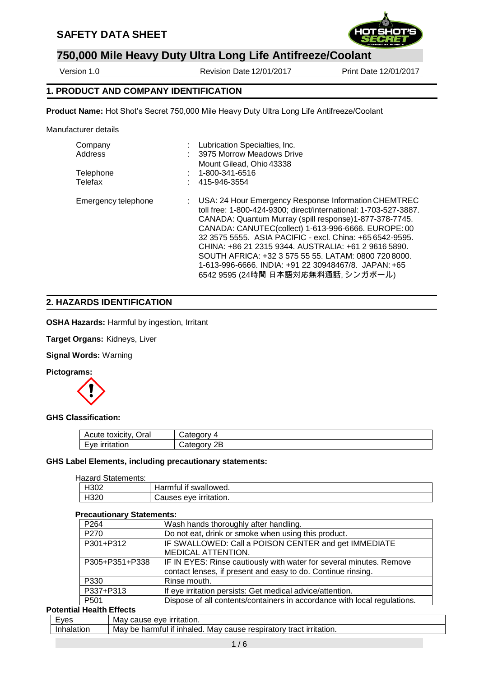## **SAFETY DATA SHEET**



# **750,000 Mile Heavy Duty Ultra Long Life Antifreeze/Coolant**

Version 1.0 Revision Date12/01/2017 Print Date 12/01/2017

## **1. PRODUCT AND COMPANY IDENTIFICATION**

**Product Name:** Hot Shot's Secret 750,000 Mile Heavy Duty Ultra Long Life Antifreeze/Coolant

Manufacturer details

| Company             | Lubrication Specialties, Inc.                                                                                                                                                                                                                                                                                                                                                                                                                                                                                         |
|---------------------|-----------------------------------------------------------------------------------------------------------------------------------------------------------------------------------------------------------------------------------------------------------------------------------------------------------------------------------------------------------------------------------------------------------------------------------------------------------------------------------------------------------------------|
| Address             | 3975 Morrow Meadows Drive                                                                                                                                                                                                                                                                                                                                                                                                                                                                                             |
|                     | Mount Gilead, Ohio 43338                                                                                                                                                                                                                                                                                                                                                                                                                                                                                              |
| Telephone           | 1-800-341-6516                                                                                                                                                                                                                                                                                                                                                                                                                                                                                                        |
| Telefax             | 415-946-3554                                                                                                                                                                                                                                                                                                                                                                                                                                                                                                          |
| Emergency telephone | : USA: 24 Hour Emergency Response Information CHEMTREC<br>toll free: 1-800-424-9300; direct/international: 1-703-527-3887.<br>CANADA: Quantum Murray (spill response)1-877-378-7745.<br>CANADA: CANUTEC(collect) 1-613-996-6666. EUROPE: 00<br>32 3575 5555. ASIA PACIFIC - excl. China: +65 6542-9595.<br>CHINA: +86 21 2315 9344. AUSTRALIA: +61 2 9616 5890.<br>SOUTH AFRICA: +32 3 575 55 55. LATAM: 0800 720 8000.<br>1-613-996-6666, INDIA: +91 22 30948467/8, JAPAN: +65<br>6542 9595 (24時間 日本語対応無料通話, シンガポール) |

#### **2. HAZARDS IDENTIFICATION**

**OSHA Hazards:** Harmful by ingestion, Irritant

**Target Organs:** Kidneys, Liver

**Signal Words:** Warning

**Pictograms:** 



#### **GHS Classification:**

| Oral<br>Acute toxicity.  | ∶ater<br>10 H V<br>,,,,                     |
|--------------------------|---------------------------------------------|
| ⊢ve<br><b>Irritation</b> | atec.<br>и<br>11 M<br>ــ ـ<br><b>00.00.</b> |

#### **GHS Label Elements, including precautionary statements:**

#### Hazard Statements:

| H302 | Harmful if swallowed.  |  |  |
|------|------------------------|--|--|
| H320 | Causes eve irritation. |  |  |

#### **Precautionary Statements:**

| . טטוויטווט זי טנענטוויט                                                 |
|--------------------------------------------------------------------------|
| Wash hands thoroughly after handling.                                    |
| Do not eat, drink or smoke when using this product.                      |
| IF SWALLOWED: Call a POISON CENTER and get IMMEDIATE                     |
| <b>MEDICAL ATTENTION.</b>                                                |
| IF IN EYES: Rinse cautiously with water for several minutes. Remove      |
| contact lenses, if present and easy to do. Continue rinsing.             |
| Rinse mouth.                                                             |
| If eye irritation persists: Get medical advice/attention.                |
| Dispose of all contents/containers in accordance with local regulations. |
|                                                                          |

## **Potential Health Effects**

| <b>Lves</b> | irritation.<br>Mav<br>eve<br>cause                                                              |
|-------------|-------------------------------------------------------------------------------------------------|
| ulation     | irritation.<br>respiratory<br>∵inhaled.<br>Mav<br>tract<br>Mav<br>harmful<br>-ıt<br>cause<br>be |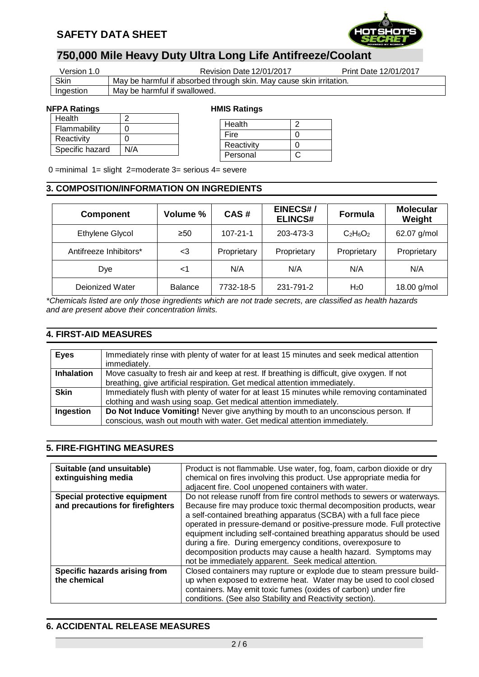

| Version 1.0 | Revision Date 12/01/2017                                            | Print Date 12/01/2017 |
|-------------|---------------------------------------------------------------------|-----------------------|
| Skin        | May be harmful if absorbed through skin. May cause skin irritation. |                       |
| Ingestion   | May be harmful if swallowed.                                        |                       |

#### **NFPA Ratings The Contract Research HMIS Ratings**

| Health          |                   |
|-----------------|-------------------|
| Flammability    | O                 |
| Reactivity      | $\mathbf{\Omega}$ |
| Specific hazard | N/A               |

| Health     |  |
|------------|--|
| Fire       |  |
| Reactivity |  |
| Personal   |  |
|            |  |

0 =minimal 1= slight 2=moderate 3= serious 4= severe

### **3. COMPOSITION/INFORMATION ON INGREDIENTS**

| <b>Component</b>       | Volume %       | CAS#           | <b>EINECS#/</b><br><b>ELINCS#</b> | <b>Formula</b>   | <b>Molecular</b><br>Weight |
|------------------------|----------------|----------------|-----------------------------------|------------------|----------------------------|
| Ethylene Glycol        | $\geq 50$      | $107 - 21 - 1$ | 203-473-3                         | $C_2H_6O_2$      | 62.07 g/mol                |
| Antifreeze Inhibitors* | $\leq$ 3       | Proprietary    | Proprietary                       | Proprietary      | Proprietary                |
| Dye                    | <1             | N/A            | N/A                               | N/A              | N/A                        |
| Dejonized Water        | <b>Balance</b> | 7732-18-5      | 231-791-2                         | H <sub>2</sub> 0 | 18.00 g/mol                |

*\*Chemicals listed are only those ingredients which are not trade secrets, are classified as health hazards and are present above their concentration limits.*

 $\overline{a}$ 

## **4. FIRST-AID MEASURES**

| <b>Eyes</b>       | Immediately rinse with plenty of water for at least 15 minutes and seek medical attention<br>immediately.                                                                 |
|-------------------|---------------------------------------------------------------------------------------------------------------------------------------------------------------------------|
| <b>Inhalation</b> | Move casualty to fresh air and keep at rest. If breathing is difficult, give oxygen. If not<br>breathing, give artificial respiration. Get medical attention immediately. |
| <b>Skin</b>       | Immediately flush with plenty of water for at least 15 minutes while removing contaminated<br>clothing and wash using soap. Get medical attention immediately.            |
| Ingestion         | Do Not Induce Vomiting! Never give anything by mouth to an unconscious person. If<br>conscious, wash out mouth with water. Get medical attention immediately.             |

### **5. FIRE-FIGHTING MEASURES**

| Suitable (and unsuitable)        | Product is not flammable. Use water, fog, foam, carbon dioxide or dry   |  |  |  |
|----------------------------------|-------------------------------------------------------------------------|--|--|--|
| extinguishing media              | chemical on fires involving this product. Use appropriate media for     |  |  |  |
|                                  | adjacent fire. Cool unopened containers with water.                     |  |  |  |
| Special protective equipment     | Do not release runoff from fire control methods to sewers or waterways. |  |  |  |
| and precautions for firefighters | Because fire may produce toxic thermal decomposition products, wear     |  |  |  |
|                                  | a self-contained breathing apparatus (SCBA) with a full face piece      |  |  |  |
|                                  | operated in pressure-demand or positive-pressure mode. Full protective  |  |  |  |
|                                  | equipment including self-contained breathing apparatus should be used   |  |  |  |
|                                  | during a fire. During emergency conditions, overexposure to             |  |  |  |
|                                  | decomposition products may cause a health hazard. Symptoms may          |  |  |  |
|                                  | not be immediately apparent. Seek medical attention.                    |  |  |  |
|                                  |                                                                         |  |  |  |
| Specific hazards arising from    | Closed containers may rupture or explode due to steam pressure build-   |  |  |  |
| the chemical                     | up when exposed to extreme heat. Water may be used to cool closed       |  |  |  |
|                                  | containers. May emit toxic fumes (oxides of carbon) under fire          |  |  |  |
|                                  | conditions. (See also Stability and Reactivity section).                |  |  |  |

## **6. ACCIDENTAL RELEASE MEASURES**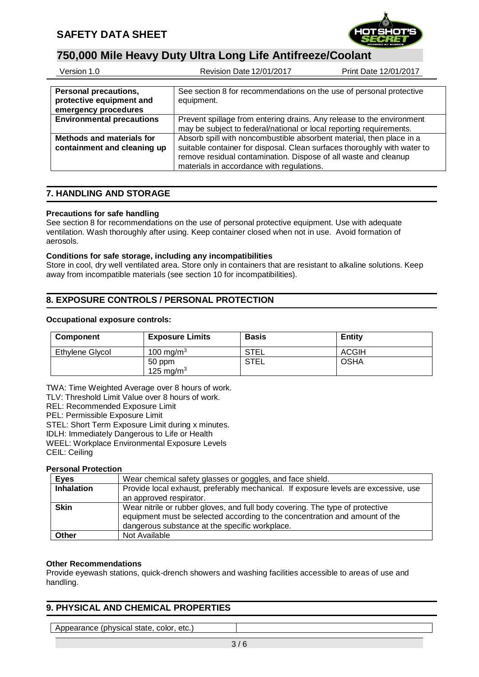

| Version 1.0                                                               | Revision Date 12/01/2017<br>Print Date 12/01/2017                                                                                                                                                                                                                |
|---------------------------------------------------------------------------|------------------------------------------------------------------------------------------------------------------------------------------------------------------------------------------------------------------------------------------------------------------|
| Personal precautions,<br>protective equipment and<br>emergency procedures | See section 8 for recommendations on the use of personal protective<br>equipment.                                                                                                                                                                                |
| <b>Environmental precautions</b>                                          | Prevent spillage from entering drains. Any release to the environment<br>may be subject to federal/national or local reporting requirements.                                                                                                                     |
| Methods and materials for<br>containment and cleaning up                  | Absorb spill with noncombustible absorbent material, then place in a<br>suitable container for disposal. Clean surfaces thoroughly with water to<br>remove residual contamination. Dispose of all waste and cleanup<br>materials in accordance with regulations. |

## **7. HANDLING AND STORAGE**

#### **Precautions for safe handling**

See section 8 for recommendations on the use of personal protective equipment. Use with adequate ventilation. Wash thoroughly after using. Keep container closed when not in use. Avoid formation of aerosols.

#### **Conditions for safe storage, including any incompatibilities**

Store in cool, dry well ventilated area. Store only in containers that are resistant to alkaline solutions. Keep away from incompatible materials (see section 10 for incompatibilities).

## **8. EXPOSURE CONTROLS / PERSONAL PROTECTION**

#### **Occupational exposure controls:**

| Component       | <b>Exposure Limits</b> | <b>Basis</b> | <b>Entity</b> |
|-----------------|------------------------|--------------|---------------|
| Ethylene Glycol | 100 mg/m $^3$          | <b>STEL</b>  | <b>ACGIH</b>  |
|                 | 50 ppm<br>125 mg/m $3$ | <b>STEL</b>  | <b>OSHA</b>   |

TWA: Time Weighted Average over 8 hours of work.

TLV: Threshold Limit Value over 8 hours of work.

REL: Recommended Exposure Limit

PEL: Permissible Exposure Limit

STEL: Short Term Exposure Limit during x minutes.

IDLH: Immediately Dangerous to Life or Health

WEEL: Workplace Environmental Exposure Levels

CEIL: Ceiling

#### **Personal Protection**

| <b>Eyes</b>       | Wear chemical safety glasses or goggles, and face shield.                                                                                                                                                      |
|-------------------|----------------------------------------------------------------------------------------------------------------------------------------------------------------------------------------------------------------|
| <b>Inhalation</b> | Provide local exhaust, preferably mechanical. If exposure levels are excessive, use<br>an approved respirator.                                                                                                 |
| <b>Skin</b>       | Wear nitrile or rubber gloves, and full body covering. The type of protective<br>equipment must be selected according to the concentration and amount of the<br>dangerous substance at the specific workplace. |
| Other             | Not Available                                                                                                                                                                                                  |

#### **Other Recommendations**

Provide eyewash stations, quick-drench showers and washing facilities accessible to areas of use and handling.

## **9. PHYSICAL AND CHEMICAL PROPERTIES**

Appearance (physical state, color, etc.)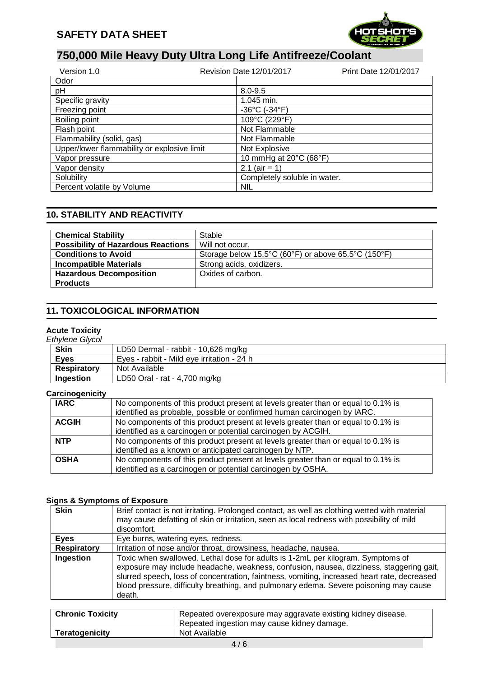

| Version 1.0                                 | <b>Revision Date 12/01/2017</b>    | Print Date 12/01/2017 |
|---------------------------------------------|------------------------------------|-----------------------|
| Odor                                        |                                    |                       |
| pH                                          | $8.0 - 9.5$                        |                       |
| Specific gravity                            | 1.045 min.                         |                       |
| Freezing point                              | $-36^{\circ}$ C ( $-34^{\circ}$ F) |                       |
| Boiling point                               | 109°C (229°F)                      |                       |
| Flash point                                 | Not Flammable                      |                       |
| Flammability (solid, gas)                   | Not Flammable                      |                       |
| Upper/lower flammability or explosive limit | Not Explosive                      |                       |
| Vapor pressure                              | 10 mmHg at 20°C (68°F)             |                       |
| Vapor density                               | 2.1 ( $air = 1$ )                  |                       |
| Solubility                                  | Completely soluble in water.       |                       |
| Percent volatile by Volume                  | NIL                                |                       |

## **10. STABILITY AND REACTIVITY**

| <b>Chemical Stability</b>                 | Stable                                              |
|-------------------------------------------|-----------------------------------------------------|
| <b>Possibility of Hazardous Reactions</b> | Will not occur.                                     |
| <b>Conditions to Avoid</b>                | Storage below 15.5°C (60°F) or above 65.5°C (150°F) |
| <b>Incompatible Materials</b>             | Strong acids, oxidizers.                            |
| <b>Hazardous Decomposition</b>            | Oxides of carbon.                                   |
| <b>Products</b>                           |                                                     |

## **11. TOXICOLOGICAL INFORMATION**

#### **Acute Toxicity**

| <b>Ethylene Glycol</b> |                                            |
|------------------------|--------------------------------------------|
| <b>Skin</b>            | LD50 Dermal - rabbit - 10,626 mg/kg        |
| <b>Eves</b>            | Eves - rabbit - Mild eve irritation - 24 h |
| <b>Respiratory</b>     | Not Available                              |
| Ingestion              | LD50 Oral - rat - 4,700 mg/kg              |

#### **Carcinogenicity**

| . <sub>. .</sub> |                                                                                  |
|------------------|----------------------------------------------------------------------------------|
| <b>IARC</b>      | No components of this product present at levels greater than or equal to 0.1% is |
|                  | identified as probable, possible or confirmed human carcinogen by IARC.          |
| <b>ACGIH</b>     | No components of this product present at levels greater than or equal to 0.1% is |
|                  | identified as a carcinogen or potential carcinogen by ACGIH.                     |
| <b>NTP</b>       | No components of this product present at levels greater than or equal to 0.1% is |
|                  | identified as a known or anticipated carcinogen by NTP.                          |
| <b>OSHA</b>      | No components of this product present at levels greater than or equal to 0.1% is |
|                  | identified as a carcinogen or potential carcinogen by OSHA.                      |

#### **Signs & Symptoms of Exposure**

| <b>Skin</b>        | Brief contact is not irritating. Prolonged contact, as well as clothing wetted with material<br>may cause defatting of skin or irritation, seen as local redness with possibility of mild<br>discomfort.                                                                                                                                                                     |
|--------------------|------------------------------------------------------------------------------------------------------------------------------------------------------------------------------------------------------------------------------------------------------------------------------------------------------------------------------------------------------------------------------|
| <b>Eyes</b>        | Eye burns, watering eyes, redness.                                                                                                                                                                                                                                                                                                                                           |
| <b>Respiratory</b> | Irritation of nose and/or throat, drowsiness, headache, nausea.                                                                                                                                                                                                                                                                                                              |
| Ingestion          | Toxic when swallowed. Lethal dose for adults is 1-2mL per kilogram. Symptoms of<br>exposure may include headache, weakness, confusion, nausea, dizziness, staggering gait,<br>slurred speech, loss of concentration, faintness, vomiting, increased heart rate, decreased<br>blood pressure, difficulty breathing, and pulmonary edema. Severe poisoning may cause<br>death. |

| <b>Chronic Toxicity</b> | Repeated overexposure may aggravate existing kidney disease.<br>Repeated ingestion may cause kidney damage. |
|-------------------------|-------------------------------------------------------------------------------------------------------------|
| <b>Teratogenicity</b>   | Not Available                                                                                               |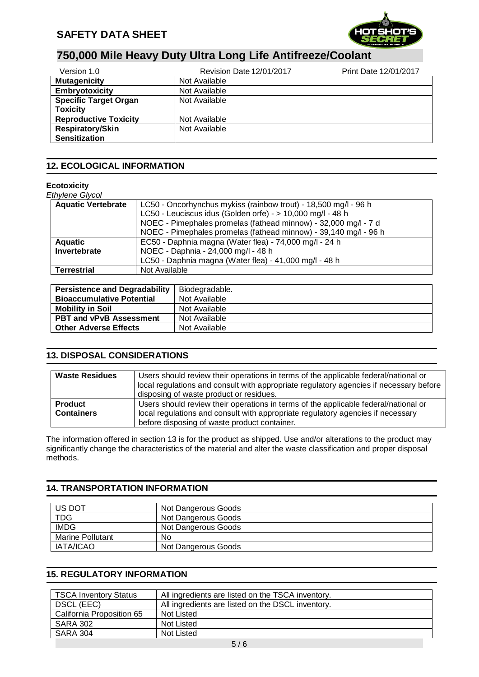

| Version 1.0                  | Revision Date 12/01/2017 | Print Date 12/01/2017 |
|------------------------------|--------------------------|-----------------------|
| <b>Mutagenicity</b>          | Not Available            |                       |
| <b>Embryotoxicity</b>        | Not Available            |                       |
| <b>Specific Target Organ</b> | Not Available            |                       |
| <b>Toxicity</b>              |                          |                       |
| <b>Reproductive Toxicity</b> | Not Available            |                       |
| <b>Respiratory/Skin</b>      | Not Available            |                       |
| <b>Sensitization</b>         |                          |                       |

## **12. ECOLOGICAL INFORMATION**

### **Ecotoxicity**

### *Ethylene Glycol*

| <b>Aquatic Vertebrate</b> | LC50 - Oncorhynchus mykiss (rainbow trout) - 18,500 mg/l - 96 h  |  |
|---------------------------|------------------------------------------------------------------|--|
|                           | LC50 - Leuciscus idus (Golden orfe) - > 10,000 mg/l - 48 h       |  |
|                           | NOEC - Pimephales promelas (fathead minnow) - 32,000 mg/l - 7 d  |  |
|                           | NOEC - Pimephales promelas (fathead minnow) - 39,140 mg/l - 96 h |  |
| <b>Aquatic</b>            | EC50 - Daphnia magna (Water flea) - 74,000 mg/l - 24 h           |  |
| Invertebrate              | NOEC - Daphnia - 24,000 mg/l - 48 h                              |  |
|                           | LC50 - Daphnia magna (Water flea) - 41,000 mg/l - 48 h           |  |
| <b>Terrestrial</b>        | Not Available                                                    |  |

| <b>Persistence and Degradability</b> | Biodegradable. |
|--------------------------------------|----------------|
| <b>Bioaccumulative Potential</b>     | Not Available  |
| <b>Mobility in Soil</b>              | Not Available  |
| <b>PBT and vPvB Assessment</b>       | Not Available  |
| <b>Other Adverse Effects</b>         | Not Available  |

## **13. DISPOSAL CONSIDERATIONS**

| <b>Waste Residues</b> | Users should review their operations in terms of the applicable federal/national or<br>local regulations and consult with appropriate regulatory agencies if necessary before |
|-----------------------|-------------------------------------------------------------------------------------------------------------------------------------------------------------------------------|
|                       | disposing of waste product or residues.                                                                                                                                       |
| <b>Product</b>        | Users should review their operations in terms of the applicable federal/national or                                                                                           |
| <b>Containers</b>     | local regulations and consult with appropriate regulatory agencies if necessary                                                                                               |
|                       | before disposing of waste product container.                                                                                                                                  |

The information offered in section 13 is for the product as shipped. Use and/or alterations to the product may significantly change the characteristics of the material and alter the waste classification and proper disposal methods.

## **14. TRANSPORTATION INFORMATION**

| US DOT                  | Not Dangerous Goods |
|-------------------------|---------------------|
| <b>TDG</b>              | Not Dangerous Goods |
| <b>IMDG</b>             | Not Dangerous Goods |
| <b>Marine Pollutant</b> | No                  |
| IATA/ICAO               | Not Dangerous Goods |

## **15. REGULATORY INFORMATION**

| <b>TSCA Inventory Status</b> | All ingredients are listed on the TSCA inventory. |  |
|------------------------------|---------------------------------------------------|--|
| DSCL (EEC)                   | All ingredients are listed on the DSCL inventory. |  |
| California Proposition 65    | Not Listed                                        |  |
| <b>SARA 302</b>              | Not Listed                                        |  |
| <b>SARA 304</b>              | Not Listed                                        |  |